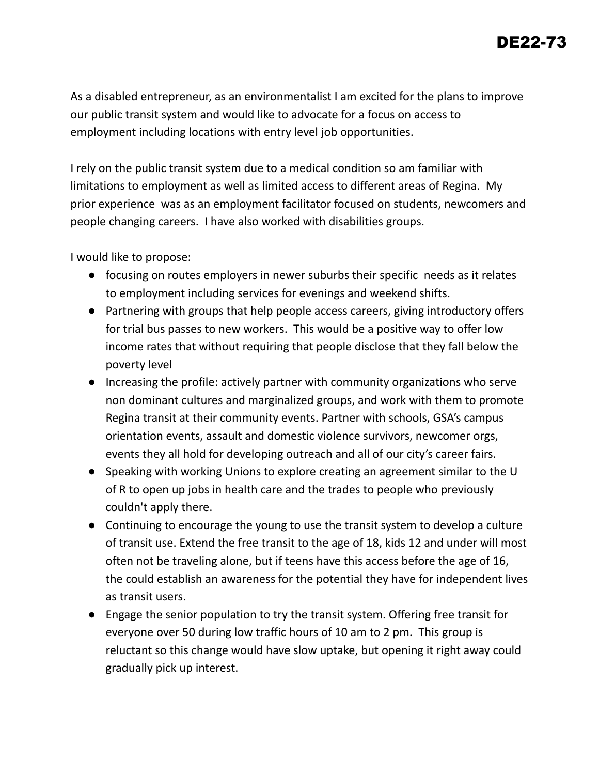As a disabled entrepreneur, as an environmentalist I am excited for the plans to improve our public transit system and would like to advocate for a focus on access to employment including locations with entry level job opportunities.

I rely on the public transit system due to a medical condition so am familiar with limitations to employment as well as limited access to different areas of Regina. My prior experience was as an employment facilitator focused on students, newcomers and people changing careers. I have also worked with disabilities groups.

I would like to propose:

- focusing on routes employers in newer suburbs their specific needs as it relates to employment including services for evenings and weekend shifts.
- Partnering with groups that help people access careers, giving introductory offers for trial bus passes to new workers. This would be a positive way to offer low income rates that without requiring that people disclose that they fall below the poverty level
- Increasing the profile: actively partner with community organizations who serve non dominant cultures and marginalized groups, and work with them to promote Regina transit at their community events. Partner with schools, GSA's campus orientation events, assault and domestic violence survivors, newcomer orgs, events they all hold for developing outreach and all of our city's career fairs.
- Speaking with working Unions to explore creating an agreement similar to the U of R to open up jobs in health care and the trades to people who previously couldn't apply there.
- Continuing to encourage the young to use the transit system to develop a culture of transit use. Extend the free transit to the age of 18, kids 12 and under will most often not be traveling alone, but if teens have this access before the age of 16, the could establish an awareness for the potential they have for independent lives as transit users.
- Engage the senior population to try the transit system. Offering free transit for everyone over 50 during low traffic hours of 10 am to 2 pm. This group is reluctant so this change would have slow uptake, but opening it right away could gradually pick up interest.